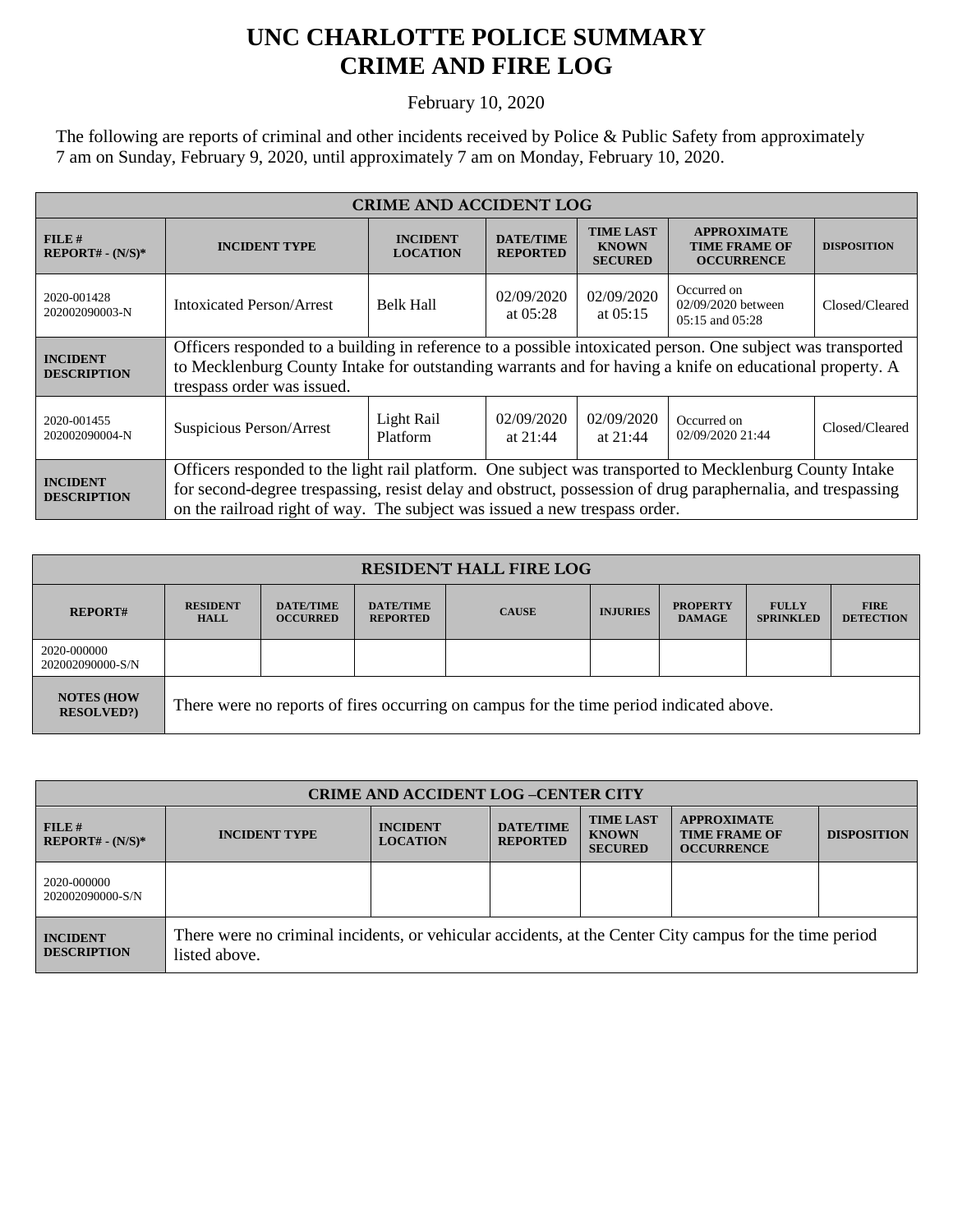## **UNC CHARLOTTE POLICE SUMMARY CRIME AND FIRE LOG**

February 10, 2020

The following are reports of criminal and other incidents received by Police & Public Safety from approximately 7 am on Sunday, February 9, 2020, until approximately 7 am on Monday, February 10, 2020.

| <b>CRIME AND ACCIDENT LOG</b>         |                                                                                                                                                                                                                                                                                                      |                                    |                                     |                                                    |                                                                 |                    |  |
|---------------------------------------|------------------------------------------------------------------------------------------------------------------------------------------------------------------------------------------------------------------------------------------------------------------------------------------------------|------------------------------------|-------------------------------------|----------------------------------------------------|-----------------------------------------------------------------|--------------------|--|
| FILE#<br>$REPORT# - (N/S)*$           | <b>INCIDENT TYPE</b>                                                                                                                                                                                                                                                                                 | <b>INCIDENT</b><br><b>LOCATION</b> | <b>DATE/TIME</b><br><b>REPORTED</b> | <b>TIME LAST</b><br><b>KNOWN</b><br><b>SECURED</b> | <b>APPROXIMATE</b><br><b>TIME FRAME OF</b><br><b>OCCURRENCE</b> | <b>DISPOSITION</b> |  |
| 2020-001428<br>202002090003-N         | Intoxicated Person/Arrest                                                                                                                                                                                                                                                                            | <b>Belk Hall</b>                   | 02/09/2020<br>at $05:28$            | 02/09/2020<br>at $05:15$                           | Occurred on<br>02/09/2020 between<br>$0.5:15$ and $0.5:28$      | Closed/Cleared     |  |
| <b>INCIDENT</b><br><b>DESCRIPTION</b> | Officers responded to a building in reference to a possible intoxicated person. One subject was transported<br>to Mecklenburg County Intake for outstanding warrants and for having a knife on educational property. A<br>trespass order was issued.                                                 |                                    |                                     |                                                    |                                                                 |                    |  |
| 2020-001455<br>202002090004-N         | Suspicious Person/Arrest                                                                                                                                                                                                                                                                             | Light Rail<br>Platform             | 02/09/2020<br>at $21:44$            | 02/09/2020<br>at $21:44$                           | Occurred on<br>02/09/2020 21:44                                 | Closed/Cleared     |  |
| <b>INCIDENT</b><br><b>DESCRIPTION</b> | Officers responded to the light rail platform. One subject was transported to Mecklenburg County Intake<br>for second-degree trespassing, resist delay and obstruct, possession of drug paraphernalia, and trespassing<br>on the railroad right of way. The subject was issued a new trespass order. |                                    |                                     |                                                    |                                                                 |                    |  |

| <b>RESIDENT HALL FIRE LOG</b>          |                                                                                         |                                     |                                     |              |                 |                                  |                                  |                                 |
|----------------------------------------|-----------------------------------------------------------------------------------------|-------------------------------------|-------------------------------------|--------------|-----------------|----------------------------------|----------------------------------|---------------------------------|
| <b>REPORT#</b>                         | <b>RESIDENT</b><br><b>HALL</b>                                                          | <b>DATE/TIME</b><br><b>OCCURRED</b> | <b>DATE/TIME</b><br><b>REPORTED</b> | <b>CAUSE</b> | <b>INJURIES</b> | <b>PROPERTY</b><br><b>DAMAGE</b> | <b>FULLY</b><br><b>SPRINKLED</b> | <b>FIRE</b><br><b>DETECTION</b> |
| 2020-000000<br>202002090000-S/N        |                                                                                         |                                     |                                     |              |                 |                                  |                                  |                                 |
| <b>NOTES (HOW</b><br><b>RESOLVED?)</b> | There were no reports of fires occurring on campus for the time period indicated above. |                                     |                                     |              |                 |                                  |                                  |                                 |

| <b>CRIME AND ACCIDENT LOG-CENTER CITY</b> |                                                                                                                          |                                    |                                     |                                                    |                                                                 |                    |
|-------------------------------------------|--------------------------------------------------------------------------------------------------------------------------|------------------------------------|-------------------------------------|----------------------------------------------------|-----------------------------------------------------------------|--------------------|
| FILE#<br>$REPORT# - (N/S)*$               | <b>INCIDENT TYPE</b>                                                                                                     | <b>INCIDENT</b><br><b>LOCATION</b> | <b>DATE/TIME</b><br><b>REPORTED</b> | <b>TIME LAST</b><br><b>KNOWN</b><br><b>SECURED</b> | <b>APPROXIMATE</b><br><b>TIME FRAME OF</b><br><b>OCCURRENCE</b> | <b>DISPOSITION</b> |
| 2020-000000<br>202002090000-S/N           |                                                                                                                          |                                    |                                     |                                                    |                                                                 |                    |
| <b>INCIDENT</b><br><b>DESCRIPTION</b>     | There were no criminal incidents, or vehicular accidents, at the Center City campus for the time period<br>listed above. |                                    |                                     |                                                    |                                                                 |                    |